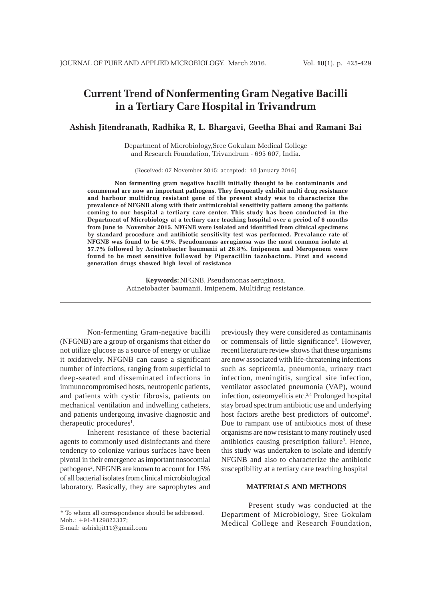# **Current Trend of Nonfermenting Gram Negative Bacilli in a Tertiary Care Hospital in Trivandrum**

# **Ashish Jitendranath, Radhika R, L. Bhargavi, Geetha Bhai and Ramani Bai**

Department of Microbiology,Sree Gokulam Medical College and Research Foundation, Trivandrum - 695 607, India.

(Received: 07 November 2015; accepted: 10 January 2016)

**Non fermenting gram negative bacilli initially thought to be contaminants and commensal are now an important pathogens. They frequently exhibit multi drug resistance and harbour multidrug resistant gene of the present study was to characterize the prevalence of NFGNB along with their antimicrobial sensitivity pattern among the patients coming to our hospital a tertiary care center. This study has been conducted in the Department of Microbiology at a tertiary care teaching hospital over a period of 6 months from June to November 2015. NFGNB were isolated and identified from clinical specimens by standard procedure and antibiotic sensitivity test was performed. Prevalance rate of NFGNB was found to be 4.9%. Pseudomonas aeruginosa was the most common isolate at 57.7% followed by Acinetobacter baumanii at 26.8%. Imipenem and Meropenem were found to be most sensitive followed by Piperacillin tazobactum. First and second generation drugs showed high level of resistance**

> **Keywords:** NFGNB, Pseudomonas aeruginosa, Acinetobacter baumanii, Imipenem, Multidrug resistance.

Non-fermenting Gram-negative bacilli (NFGNB) are a group of organisms that either do not utilize glucose as a source of energy or utilize it oxidatively. NFGNB can cause a significant number of infections, ranging from superficial to deep-seated and disseminated infections in immunocompromised hosts, neutropenic patients, and patients with cystic fibrosis, patients on mechanical ventilation and indwelling catheters, and patients undergoing invasive diagnostic and therapeutic procedures<sup>1</sup>.

Inherent resistance of these bacterial agents to commonly used disinfectants and there tendency to colonize various surfaces have been pivotal in their emergence as important nosocomial pathogens<sup>2</sup>. NFGNB are known to account for 15% of all bacterial isolates from clinical microbiological laboratory. Basically, they are saprophytes and

\* To whom all correspondence should be addressed. Mob.: +91-8129823337; E-mail: ashishjit11@gmail.com

previously they were considered as contaminants or commensals of little significance<sup>3</sup>. However, recent literature review shows that these organisms are now associated with life-threatening infections such as septicemia, pneumonia, urinary tract infection, meningitis, surgical site infection, ventilator associated pneumonia (VAP), wound infection, osteomyelitis etc.2,4 Prolonged hospital stay broad spectrum antibiotic use and underlying host factors arethe best predictors of outcome<sup>5</sup>. Due to rampant use of antibiotics most of these organisms are now resistant to many routinely used antibiotics causing prescription failure<sup>3</sup>. Hence, this study was undertaken to isolate and identify NFGNB and also to characterize the antibiotic susceptibility at a tertiary care teaching hospital

## **MATERIALS AND METHODS**

Present study was conducted at the Department of Microbiology, Sree Gokulam Medical College and Research Foundation,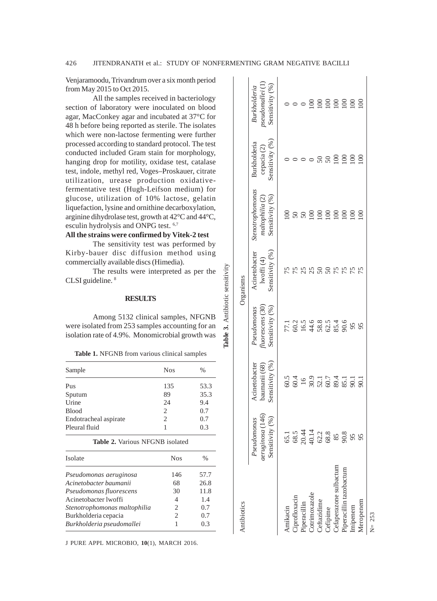**Table 3.** Antibiotic sensitivity

Table 3. Antibiotic sensitivity

Venjaramoodu, Trivandrum over a six month period from May 2015 to Oct 2015.

All the samples received in bacteriology section of laboratory were inoculated on blood agar, MacConkey agar and incubated at 37°C for 48 h before being reported as sterile. The isolates which were non-lactose fermenting were further processed according to standard protocol. The test conducted included Gram stain for morphology, hanging drop for motility, oxidase test, catalase test, indole, methyl red, Voges–Proskauer, citrate utilization, urease production oxidativefermentative test (Hugh-Leifson medium) for glucose, utilization of 10% lactose, gelatin liquefaction, lysine and ornithine decarboxylation, arginine dihydrolase test, growth at 42°C and 44°C, esculin hydrolysis and ONPG test. 6,7

# **All the strains were confirmed by Vitek-2 test**

The sensitivity test was performed by Kirby-bauer disc diffusion method using commercially available discs (Himedia).

The results were interpreted as per the CLSI guideline. 8

## **RESULTS**

Among 5132 clinical samples, NFGNB were isolated from 253 samples accounting for an isolation rate of 4.9%. Monomicrobial growth was

**Table 1.** NFGNB from various clinical samples

| Sample                | <b>Nos</b>                  | $\%$ |
|-----------------------|-----------------------------|------|
| Pus                   | 135                         | 53.3 |
| Sputum                | 89                          | 35.3 |
| Urine                 | 24                          | 9.4  |
| <b>Blood</b>          | $\mathcal{D}_{\mathcal{L}}$ | 0.7  |
| Endotracheal aspirate | 2                           | 0.7  |
| Pleural fluid         |                             | 0.3  |
|                       |                             |      |

| <b>Table 2.</b> Various NFGNB isolated |
|----------------------------------------|
|----------------------------------------|

| Isolate                      | <b>Nos</b>     | $\frac{0}{0}$ |
|------------------------------|----------------|---------------|
| Pseudomonas aeruginosa       | 146            | 57.7          |
| Acinetobacter baumanii       | 68             | 26.8          |
| Pseudomonas fluorescens      | 30             | 11.8          |
| Acinetobacter lwoffi         | $\overline{4}$ | 1.4           |
| Stenotrophomonas maltophilia | 2              | 0.7           |
| Burkholderia cepacia         | $\overline{c}$ | 0.7           |
| Burkholderia pseudomallei    |                | 0.3           |
|                              |                |               |

J PURE APPL MICROBIO*,* **10**(1), MARCH 2016.

| Antibiotics                                       |                                                   |                                                  |                                                      | rganisms                                             |                                                         |                                                          |                                                |
|---------------------------------------------------|---------------------------------------------------|--------------------------------------------------|------------------------------------------------------|------------------------------------------------------|---------------------------------------------------------|----------------------------------------------------------|------------------------------------------------|
|                                                   | aeruginosa (146<br>Pseudomonas<br>Sensitivity (%) | Sensitivity (%<br>Acinetobacter<br>baumanii (68) | Sensitivity $(\%)$<br>Pseudomonas<br>tluorescens (3C | Sensitivity $(\%$ )<br>Acinetobacter<br>lwoffi $(4)$ | Stenotrophomonas<br>Sensitivity $(%)$<br>maltophilia (2 | Sensitivity (%<br>Burkholderia<br>cepacia <sub>(2)</sub> | Sensitivity (%<br>Burkholderic<br>pseudomallei |
|                                                   |                                                   |                                                  |                                                      |                                                      |                                                         |                                                          |                                                |
| Amikacin<br>Ciprofloxacin                         |                                                   | 604<br>604<br>16                                 |                                                      |                                                      | $50\,$                                                  |                                                          |                                                |
|                                                   |                                                   |                                                  |                                                      |                                                      | 50                                                      |                                                          |                                                |
| Piperacillin<br>Cotrimoxazole                     |                                                   |                                                  |                                                      | 25                                                   | $\Xi$                                                   |                                                          | 8                                              |
| <b>Jeftazidime</b>                                |                                                   |                                                  |                                                      |                                                      | $\overline{100}$                                        |                                                          | $\Xi$                                          |
| Cefipime<br>Cefaperazone sulbactum                |                                                   |                                                  |                                                      |                                                      | $\Xi$                                                   | $\Im$                                                    | $\approx$                                      |
|                                                   |                                                   |                                                  |                                                      | 75                                                   | $\overline{0}$                                          | 100                                                      | $\overline{5}$                                 |
|                                                   |                                                   | $30.754$<br>$50.754$<br>$50.754$<br>$50.75$      | $7.35668666$<br>$7.25668666$<br>$7.3566866$          |                                                      | $\overline{\mathbf{S}}$                                 | $\Xi$                                                    | $\geq$                                         |
| <sup>&gt;</sup> iperacillin tazobactum<br>impenem | 95                                                |                                                  | 95                                                   |                                                      | <u>ප</u>                                                | $\Xi$                                                    | $\Xi$                                          |
| Meropenem                                         | 95                                                | 90.                                              |                                                      |                                                      | ξ                                                       | 8                                                        | $\infty$                                       |
|                                                   |                                                   |                                                  |                                                      |                                                      |                                                         |                                                          |                                                |

 $N = 253$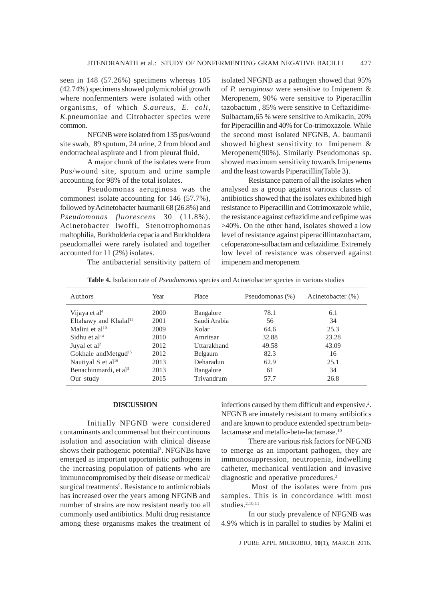seen in 148 (57.26%) specimens whereas 105 (42.74%) specimens showed polymicrobial growth where nonfermenters were isolated with other organisms, of which *S.aureus, E. coli, K.*pneumoniae and Citrobacter species were common.

NFGNB were isolated from 135 pus/wound site swab, 89 sputum, 24 urine, 2 from blood and endotracheal aspirate and 1 from pleural fluid.

A major chunk of the isolates were from Pus/wound site, sputum and urine sample accounting for 98% of the total isolates.

Pseudomonas aeruginosa was the commonest isolate accounting for 146 (57.7%), followed by Acinetobacter baumanii 68 (26.8%) and *Pseudomonas fluorescens* 30 (11.8%). Acinetobacter lwoffi, Stenotrophomonas maltophilia, Burkholderia cepacia and Burkholdera pseudomallei were rarely isolated and together accounted for 11 (2%) isolates.

isolated NFGNB as a pathogen showed that 95% of *P. aeruginosa* were sensitive to Imipenem & Meropenem, 90% were sensitive to Piperacillin tazobactum , 85% were sensitive to Ceftazidime-Sulbactam,65 % were sensitive to Amikacin, 20% for Piperacillin and 40% for Co-trimoxazole. While the second most isolated NFGNB, A. baumanii showed highest sensitivity to Imipenem & Meropenem(90%). Similarly Pseudomonas sp. showed maximum sensitivity towards Imipenems and the least towards Piperacillin(Table 3).

Resistance pattern of all the isolates when analysed as a group against various classes of antibiotics showed that the isolates exhibited high resistance to Piperacillin and Cotrimoxazole while, the resistance against ceftazidime and cefipime was >40%. On the other hand, isolates showed a low level of resistance against piperacillintazobactam, cefoperazone-sulbactam and ceftazidime. Extremely low level of resistance was observed against imipenem and meropenem

The antibacterial sensitivity pattern of

| Authors                           | Year | Place        | Pseudomonas (%) | Acinetobacter (%) |  |
|-----------------------------------|------|--------------|-----------------|-------------------|--|
| Vijaya et al <sup>4</sup>         | 2000 | Bangalore    | 78.1            | 6.1               |  |
| Eltahawy and Khalaf <sup>12</sup> | 2001 | Saudi Arabia | 56              | 34                |  |
| Malini et al $10$                 | 2009 | Kolar        | 64.6            | 25.3              |  |
| Sidhu et $al14$                   | 2010 | Amritsar     | 32.88           | 23.28             |  |
| Juyal et al <sup>2</sup>          | 2012 | Uttarakhand  | 49.58           | 43.09             |  |
| Gokhale and Metgud <sup>15</sup>  | 2012 | Belgaum      | 82.3            | 16                |  |
| Nautival S et al <sup>16</sup>    | 2013 | Deharadun    | 62.9            | 25.1              |  |
| Benachinmardi, et al <sup>3</sup> | 2013 | Bangalore    | 61              | 34                |  |
| Our study                         | 2015 | Trivandrum   | 57.7            | 26.8              |  |
|                                   |      |              |                 |                   |  |

**Table 4.** Isolation rate of *Pseudomonas* species and Acinetobacter species in various studies

## **DISCUSSION**

Initially NFGNB were considered contaminants and commensal but their continuous isolation and association with clinical disease shows their pathogenic potential<sup>3</sup>. NFGNBs have emerged as important opportunistic pathogens in the increasing population of patients who are immunocompromised by their disease or medical/ surgical treatments<sup>9</sup>. Resistance to antimicrobials has increased over the years among NFGNB and number of strains are now resistant nearly too all commonly used antibiotics. Multi drug resistance among these organisms makes the treatment of

infections caused by them difficult and expensive.<sup>2</sup>. NFGNB are innately resistant to many antibiotics and are known to produce extended spectrum betalactamase and metallo-beta-lactamase.10

There are various risk factors for NFGNB to emerge as an important pathogen, they are immunosuppression, neutropenia, indwelling catheter, mechanical ventilation and invasive diagnostic and operative procedures.<sup>3</sup>

 Most of the isolates were from pus samples. This is in concordance with most studies.<sup>2,10,11</sup>

In our study prevalence of NFGNB was 4.9% which is in parallel to studies by Malini et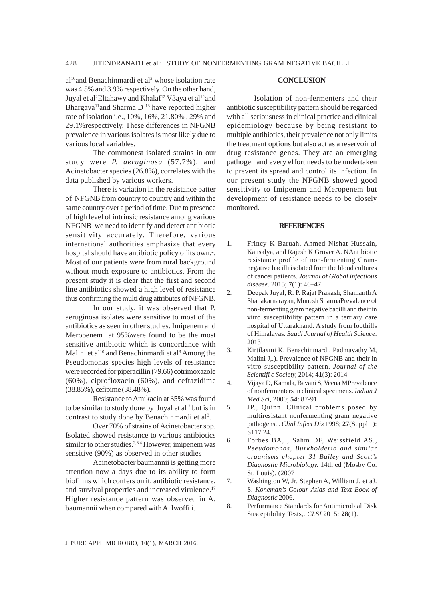al<sup>10</sup>and Benachinmardi et al<sup>3</sup> whose isolation rate was 4.5% and 3.9% respectively. On the other hand, Juyal et al<sup>2</sup>Eltahawy and Khalaf<sup>12</sup> V3aya et al<sup>12</sup>and Bhargava<sup>11</sup> and Sharma D<sup>13</sup> have reported higher rate of isolation i.e., 10%, 16%, 21.80% , 29% and 29.1%respectively. These differences in NFGNB prevalence in various isolates is most likely due to various local variables.

The commonest isolated strains in our study were *P. aeruginosa* (57.7%), and Acinetobacter species (26.8%), correlates with the data published by various workers.

There is variation in the resistance patter of NFGNB from country to country and within the same country over a period of time. Due to presence of high level of intrinsic resistance among various NFGNB we need to identify and detect antibiotic sensitivity accurately. Therefore, various international authorities emphasize that every hospital should have antibiotic policy of its own.<sup>2</sup>. Most of our patients were from rural background without much exposure to antibiotics. From the present study it is clear that the first and second line antibiotics showed a high level of resistance thus confirming the multi drug attributes of NFGNB.

In our study, it was observed that P. aeruginosa isolates were sensitive to most of the antibiotics as seen in other studies. Imipenem and Meropenem at 95%were found to be the most sensitive antibiotic which is concordance with Malini et al<sup>10</sup> and Benachinmardi et al<sup>3</sup> Among the Pseudomonas species high levels of resistance were recorded for piperacillin (79.66) cotrimoxazole (60%), ciprofloxacin (60%), and ceftazidime (38.85%), cefipime (38.48%).

Resistance to Amikacin at 35% was found to be similar to study done by Juyal et al<sup>2</sup> but is in contrast to study done by Benachinmardi et al<sup>3</sup>.

Over 70% of strains of Acinetobacter spp. Isolated showed resistance to various antibiotics similar to other studies.<sup>2,3,4</sup> However, imipenem was sensitive (90%) as observed in other studies

Acinetobacter baumannii is getting more attention now a days due to its ability to form biofilms which confers on it, antibiotic resistance, and survival properties and increased virulence.<sup>17</sup> Higher resistance pattern was observed in A. baumannii when compared with A. lwoffi i.

## **CONCLUSION**

Isolation of non-fermenters and their antibiotic susceptibility pattern should be regarded with all seriousness in clinical practice and clinical epidemiology because by being resistant to multiple antibiotics, their prevalence not only limits the treatment options but also act as a reservoir of drug resistance genes. They are an emerging pathogen and every effort needs to be undertaken to prevent its spread and control its infection. In our present study the NFGNB showed good sensitivity to Imipenem and Meropenem but development of resistance needs to be closely monitored.

## **REFERENCES**

- 1. Frincy K Baruah, Ahmed Nishat Hussain, Kausalya, and Rajesh K Grover A. NAntibiotic resistance profile of non-fermenting Gramnegative bacilli isolated from the blood cultures of cancer patients. *Journal of Global infectious disease*. 2015; **7**(1): 46–47.
- 2. Deepak Juyal, R. P. Rajat Prakash, Shamanth A Shanakarnarayan, Munesh SharmaPrevalence of non-fermenting gram negative bacilli and their in vitro susceptibility pattern in a tertiary care hospital of Uttarakhand: A study from foothills of Himalayas. *Saudi Journal of Health Science*. 2013
- 3. Kirtilaxmi K. Benachinmardi, Padmavathy M, Malini J,.). Prevalence of NFGNB and their in vitro susceptibility pattern. *Journal of the Scientifi c Society,* 2014; **41**(3): 2014
- 4. Vijaya D, Kamala, Bavani S, Veena MPrevalence of nonfermenters in clinical specimens. *Indian J Med Sci*, 2000; **54**: 87-91
- 5. JP., Quinn. Clinical problems posed by multiresistant nonfermenting gram negative pathogens. . *Clinl Infect Dis* 1998; **27**(Suppl 1): S117 24.
- 6. Forbes BA, , Sahm DF, Weissfield AS., *Pseudomonas, Burkholderia and similar organisms chapter 31 Bailey and Scott's Diagnostic Microbiology.* 14th ed (Mosby Co. St. Louis). (2007
- 7. Washington W, Jr. Stephen A, William J, et aJ. S. *Koneman's Colour Atlas and Text Book of Diagnostic* 2006.
- 8. Performance Standards for Antimicrobial Disk Susceptibility Tests,. *CLSI* 2015; **28**(1).